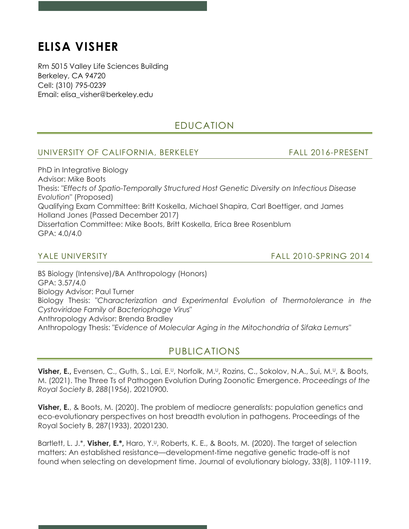# **ELISA VISHER**

Rm 5015 Valley Life Sciences Building Berkeley, CA 94720 Cell: (310) 795-0239 Email: elisa\_visher@berkeley.edu

## EDUCATION

### UNIVERSITY OF CALIFORNIA, BERKELEY FALL 2016-PRESENT

PhD in Integrative Biology Advisor: Mike Boots Thesis: "*Effects of Spatio-Temporally Structured Host Genetic Diversity on Infectious Disease Evolution*" (Proposed) Qualifying Exam Committee: Britt Koskella, Michael Shapira, Carl Boettiger, and James Holland Jones (Passed December 2017) Dissertation Committee: Mike Boots, Britt Koskella, Erica Bree Rosenblum GPA: 4.0/4.0

YALE UNIVERSITY FALL 2010-SPRING 2014

BS Biology (Intensive)/BA Anthropology (Honors) GPA: 3.57/4.0 Biology Advisor: Paul Turner Biology Thesis: "*Characterization and Experimental Evolution of Thermotolerance in the Cystoviridae Family of Bacteriophage Virus*" Anthropology Advisor: Brenda Bradley Anthropology Thesis: "*Evidence of Molecular Aging in the Mitochondria of Sifaka Lemurs"*

## PUBLICATIONS

**Visher, E.,** Evensen, C., Guth, S., Lai, E.<sup>u</sup>, Norfolk, M.<sup>u</sup>, Rozins, C., Sokolov, N.A., Sui, M.<sup>u</sup>, & Boots, M. (2021). The Three Ts of Pathogen Evolution During Zoonotic Emergence. *Proceedings of the Royal Society B*, *288*(1956), 20210900.

**Visher, E.**, & Boots, M. (2020). The problem of mediocre generalists: population genetics and eco-evolutionary perspectives on host breadth evolution in pathogens. Proceedings of the Royal Society B, 287(1933), 20201230.

Bartlett, L. J.\*, **Visher, E.\*,** Haro, Y.U, Roberts, K. E., & Boots, M. (2020). The target of selection matters: An established resistance—development-time negative genetic trade-off is not found when selecting on development time. Journal of evolutionary biology, 33(8), 1109-1119.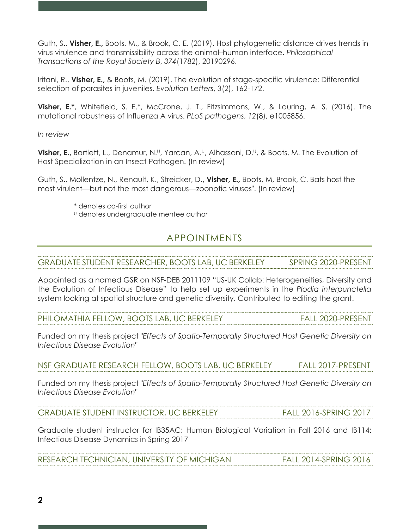Guth, S., **Visher, E.,** Boots, M., & Brook, C. E. (2019). Host phylogenetic distance drives trends in virus virulence and transmissibility across the animal–human interface. *Philosophical Transactions of the Royal Society B*, *374*(1782), 20190296.

Iritani, R., **Visher, E.,** & Boots, M. (2019). The evolution of stage-specific virulence: Differential selection of parasites in juveniles. *Evolution Letters*, *3*(2), 162-172.

**Visher, E.\***, Whitefield, S. E.\*, McCrone, J. T., Fitzsimmons, W., & Lauring, A. S. (2016). The mutational robustness of Influenza A virus. *PLoS pathogens*, *12*(8), e1005856.

*In review*

**Visher, E.,** Bartlett, L., Denamur, N.<sup>U</sup>, Yarcan, A.<sup>U</sup>, Alhassani, D.<sup>U</sup>, & Boots, M. The Evolution of Host Specialization in an Insect Pathogen. (In review)

Guth, S., Mollentze, N., Renault, K., Streicker, D.**, Visher, E.,** Boots, M, Brook, C. Bats host the most virulent—but not the most dangerous—zoonotic viruses". (In review)

- \* denotes co-first author
- U denotes undergraduate mentee author

## APPOINTMENTS

GRADUATE STUDENT RESEARCHER, BOOTS LAB, UC BERKELEY SPRING 2020-PRESENT

Appointed as a named GSR on NSF-DEB 2011109 "US-UK Collab: Heterogeneities, Diversity and the Evolution of Infectious Disease" to help set up experiments in the *Plodia interpunctella*  system looking at spatial structure and genetic diversity. Contributed to editing the grant.

PHILOMATHIA FELLOW, BOOTS LAB, UC BERKELEY FALL 2020-PRESENT

Funded on my thesis project "*Effects of Spatio-Temporally Structured Host Genetic Diversity on Infectious Disease Evolution*"

NSF GRADUATE RESEARCH FELLOW, BOOTS LAB, UC BERKELEY FALL 2017-PRESENT

Funded on my thesis project "*Effects of Spatio-Temporally Structured Host Genetic Diversity on Infectious Disease Evolution*"

GRADUATE STUDENT INSTRUCTOR, UC BERKELEY FALL 2016-SPRING 2017

Graduate student instructor for IB35AC: Human Biological Variation in Fall 2016 and IB114: Infectious Disease Dynamics in Spring 2017

RESEARCH TECHNICIAN, UNIVERSITY OF MICHIGAN FALL 2014-SPRING 2016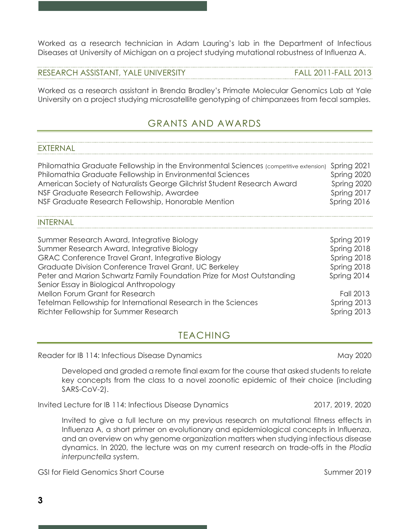*EXTERNAL* 

INTERNAL

**3**

Invited to give a full lecture on my previous research on mutational fitness effects in Influenza A, a short primer on evolutionary and epidemiological concepts in Influenza, and an overview on why genome organization matters when studying infectious disease dynamics. In 2020, the lecture was on my current research on trade-offs in the *Plodia interpunctella* system.

key concepts from the class to a novel zoonotic epidemic of their choice (including

GSI for Field Genomics Short Course Summer 2019

SARS-CoV-2).

Reader for IB 114: Infectious Disease Dynamics National May 2020

| Graduate Division Conference Travel Grant, UC Berkeley                 | Spring 2018 |
|------------------------------------------------------------------------|-------------|
| Peter and Marion Schwartz Family Foundation Prize for Most Outstanding | Spring 2014 |
| Senior Essay in Biological Anthropology                                |             |
| Mellon Forum Grant for Research                                        | Fall 2013   |
| Tetelman Fellowship for International Research in the Sciences         | Spring 2013 |
| Richter Fellowship for Summer Research                                 | Spring 2013 |
|                                                                        |             |
| TEACHING                                                               |             |

Summer Research Award, Integrative Biology Summer Research Award, Integrative Biology Summer Research Award, Integrative Biology New Spring 2018 GRAC Conference Travel Grant, Integrative Biology Spring 2018

## GRANTS AND AWARDS

Philomathia Graduate Fellowship in the Environmental Sciences (competitive extension) Spring 2021 Philomathia Graduate Fellowship in Environmental Sciences Spring 2020 American Society of Naturalists George Gilchrist Student Research Award Spring 2020 NSF Graduate Research Fellowship, Awardee Spring 2017 NSF Graduate Research Fellowship, Honorable Mention Spring 2016

RESEARCH ASSISTANT, YALE UNIVERSITY FALL 2011-FALL 2013

Worked as a research assistant in Brenda Bradley's Primate Molecular Genomics Lab at Yale University on a project studying microsatellite genotyping of chimpanzees from fecal samples.

Worked as a research technician in Adam Lauring's lab in the Department of Infectious Diseases at University of Michigan on a project studying mutational robustness of Influenza A.

Invited Lecture for IB 114: Infectious Disease Dynamics 2017, 2019, 2020

Developed and graded a remote final exam for the course that asked students to relate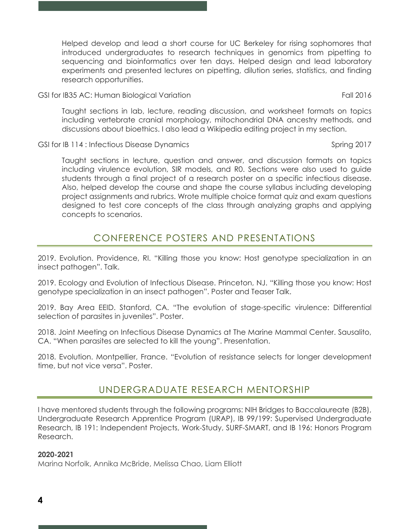Helped develop and lead a short course for UC Berkeley for rising sophomores that introduced undergraduates to research techniques in genomics from pipetting to sequencing and bioinformatics over ten days. Helped design and lead laboratory experiments and presented lectures on pipetting, dilution series, statistics, and finding research opportunities.

GSI for IB35 AC: Human Biological Variation Fall 2016

Taught sections in lab, lecture, reading discussion, and worksheet formats on topics including vertebrate cranial morphology, mitochondrial DNA ancestry methods, and discussions about bioethics. I also lead a Wikipedia editing project in my section.

GSI for IB 114 : Infectious Disease Dynamics GSI Company of the Spring 2017

Taught sections in lecture, question and answer, and discussion formats on topics including virulence evolution, SIR models, and R0. Sections were also used to guide students through a final project of a research poster on a specific infectious disease. Also, helped develop the course and shape the course syllabus including developing project assignments and rubrics. Wrote multiple choice format quiz and exam questions designed to test core concepts of the class through analyzing graphs and applying concepts to scenarios.

## CONFERENCE POSTERS AND PRESENTATIONS

2019. Evolution. Providence, RI. "Killing those you know: Host genotype specialization in an insect pathogen". Talk.

2019. Ecology and Evolution of Infectious Disease. Princeton, NJ. "Killing those you know: Host genotype specialization in an insect pathogen". Poster and Teaser Talk.

2019. Bay Area EEID. Stanford, CA. "The evolution of stage-specific virulence: Differential selection of parasites in juveniles". Poster.

2018. Joint Meeting on Infectious Disease Dynamics at The Marine Mammal Center. Sausalito, CA. "When parasites are selected to kill the young". Presentation.

2018. Evolution. Montpellier, France. "Evolution of resistance selects for longer development time, but not vice versa". Poster.

## UNDERGRADUATE RESEARCH MENTORSHIP

I have mentored students through the following programs: NIH Bridges to Baccalaureate (B2B), Undergraduate Research Apprentice Program (URAP), IB 99/199: Supervised Undergraduate Research, IB 191: Independent Projects, Work-Study, SURF-SMART, and IB 196: Honors Program Research.

#### **2020-2021**

Marina Norfolk, Annika McBride, Melissa Chao, Liam Elliott

**4**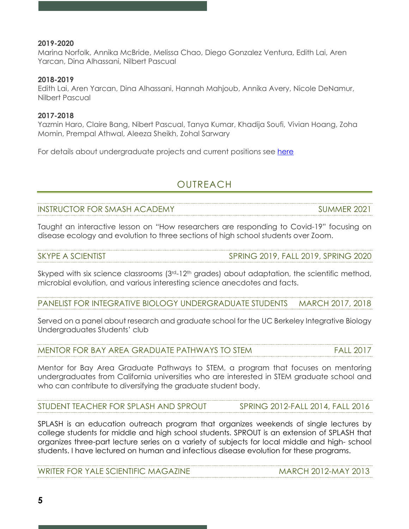#### **2019-2020**

Marina Norfolk, Annika McBride, Melissa Chao, Diego Gonzalez Ventura, Edith Lai, Aren Yarcan, Dina Alhassani, Nilbert Pascual

#### **2018-2019**

Edith Lai, Aren Yarcan, Dina Alhassani, Hannah Mahjoub, Annika Avery, Nicole DeNamur, Nilbert Pascual

#### **2017-2018**

Yazmin Haro, Claire Bang, Nibert Pascual, Tanya Kumar, Khadija Soufi, Vivian Hoang, Zoha Momin, Prempal Athwal, Aleeza Sheikh, Zohal Sarwary

For details about undergraduate projects and current positions see here

## **OUTREACH**

INSTRUCTOR FOR SMASH ACADEMY SUMMER 2021

Taught an interactive lesson on "How researchers are responding to Covid-19" focusing on disease ecology and evolution to three sections of high school students over Zoom.

| <b>SKYPE A SCIENTIST</b> | RING 2019, FALL 2019, SPRING 2020 |
|--------------------------|-----------------------------------|
|                          |                                   |

Skyped with six science classrooms  $(3<sup>rd</sup>-12<sup>th</sup>$  grades) about adaptation, the scientific method, microbial evolution, and various interesting science anecdotes and facts.

PANELIST FOR INTEGRATIVE BIOLOGY UNDERGRADUATE STUDENTS MARCH 2017, 2018

Served on a panel about research and graduate school for the UC Berkeley Integrative Biology Undergraduates Students' club

MENTOR FOR BAY AREA GRADUATE PATHWAYS TO STEM FALL 2017

Mentor for Bay Area Graduate Pathways to STEM, a program that focuses on mentoring undergraduates from California universities who are interested in STEM graduate school and who can contribute to diversifying the graduate student body.

STUDENT TEACHER FOR SPLASH AND SPROUT SPRING 2012-FALL 2014, FALL 2016

SPLASH is an education outreach program that organizes weekends of single lectures by college students for middle and high school students. SPROUT is an extension of SPLASH that organizes three-part lecture series on a variety of subjects for local middle and high- school students. I have lectured on human and infectious disease evolution for these programs.

| <b>WRITER FOR YALE SCIENTIFIC MAGAZINE</b> | <b>MARCH 2012-MAY 2013</b> |
|--------------------------------------------|----------------------------|
|                                            |                            |